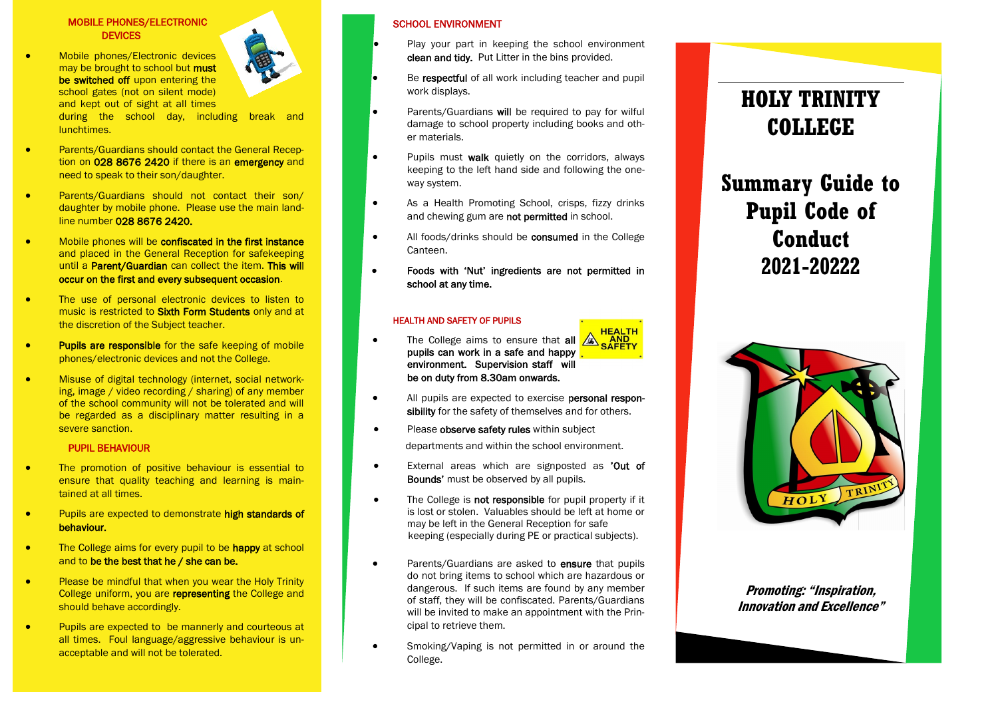#### MOBILE PHONES/ELECTRONIC **DEVICES**

 Mobile phones/Electronic devices may be brought to school but must be switched off upon entering the school gates (not on silent mode) and kept out of sight at all times



during the school day, including break and lunchtimes.

- **•** Parents/Guardians should contact the General Reception on 028 8676 2420 if there is an emergency and need to speak to their son/daughter.
- Parents/Guardians should not contact their son/ daughter by mobile phone. Please use the main landline number 028 8676 2420.
- Mobile phones will be confiscated in the first instance and placed in the General Reception for safekeeping until a **Parent/Guardian** can collect the item. This will occur on the first and every subsequent occasion .
- The use of personal electronic devices to listen to music is restricted to **Sixth Form Students** only and at the discretion of the Subject teacher.
- **•** Pupils are responsible for the safe keeping of mobile phones/electronic devices and not the College.
- Misuse of digital technology (internet, social networking, image / video recording / sharing) of any member of the school community will not be tolerated and will be regarded as a disciplinary matter resulting in a severe sanction.

#### PUPIL BEHAVIOUR

- The promotion of positive behaviour is essential to ensure that quality teaching and learning is maintained at all times.
- **•** Pupils are expected to demonstrate high standards of behaviour.
- The College aims for every pupil to be happy at school and to be the best that he / she can be.
- Please be mindful that when you wear the Holy Trinity College uniform, you are representing the College and should behave accordingly.
- Pupils are expected to be mannerly and courteous at all times. Foul language/aggressive behaviour is unacceptable and will not be tolerated.

### SCHOOL ENVIRONMENT

- Play your part in keeping the school environment clean and tidy. Put Litter in the bins provided.
- Be respectful of all work including teacher and pupil work displays.
- Parents/Guardians will be required to pay for wilful damage to school property including books and other materials.
- Pupils must walk quietly on the corridors, always keeping to the left hand side and following the one way system.
- As a Health Promoting School, crisps, fizzy drinks and chewing gum are not permitted in school.
- All foods/drinks should be **consumed** in the College Canteen.
- Foods with 'Nut' ingredients are not permitted in school at any time.

#### HEALTH AND SAFETY OF PUPILS

- The College aims to ensure that all  $\sqrt{\mathbb{A}}\sqrt{\mathbb{A}\text{RFTY}}$ pupils can work in a safe and happy environment. Supervision staff will be on duty from 8.30am onwards.
- All pupils are expected to exercise **personal respon**sibility for the safety of themselves and for others.
- Please observe safety rules within subject departments and within the school environment.
- External areas which are signposted as 'Out of Bounds' must be observed by all pupils.
- The College is not responsible for pupil property if it is lost or stolen. Valuables should be left at home or may be left in the General Reception for safe keeping (especially during PE or practical subjects).
- Parents/Guardians are asked to **ensure** that pupils do not bring items to school which are hazardous or dangerous. If such items are found by any member of staff, they will be confiscated. Parents/Guardians will be invited to make an appointment with the Principal to retrieve them.
	- Smoking/Vaping is not permitted in or around the College.

## **HOLY TRINITY COLLEGE**

# **Summary Guide to Pupil Code of Conduct 2021 -20222**



Promoting: "Inspiration, Innovation and Excellence"